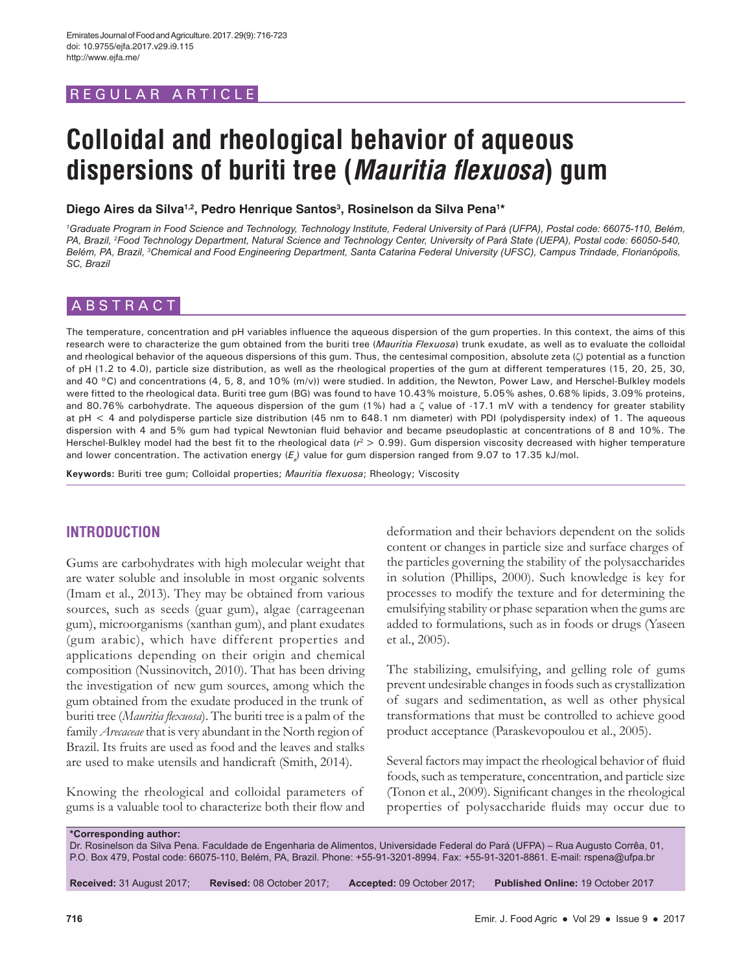# REGULAR ARTICLE

# **Colloidal and rheological behavior of aqueous dispersions of buriti tree (Mauritia flexuosa) gum**

Diego Aires da Silva<sup>1,2</sup>, Pedro Henrique Santos<sup>3</sup>, Rosinelson da Silva Pena<sup>1\*</sup>

*1 Graduate Program in Food Science and Technology, Technology Institute, Federal University of Pará (UFPA), Postal code: 66075-110, Belém, PA, Brazil, 2 Food Technology Department, Natural Science and Technology Center, University of Pará State (UEPA), Postal code: 66050-540, Belém, PA, Brazil, 3 Chemical and Food Engineering Department, Santa Catarina Federal University (UFSC), Campus Trindade, Florianópolis, SC, Brazil*

# ABSTRACT

The temperature, concentration and pH variables influence the aqueous dispersion of the gum properties. In this context, the aims of this research were to characterize the gum obtained from the buriti tree (*Mauritia Flexuosa*) trunk exudate, as well as to evaluate the colloidal and rheological behavior of the aqueous dispersions of this gum. Thus, the centesimal composition, absolute zeta (ζ) potential as a function of pH (1.2 to 4.0), particle size distribution, as well as the rheological properties of the gum at different temperatures (15, 20, 25, 30, and 40 °C) and concentrations (4, 5, 8, and 10% (m/v)) were studied. In addition, the Newton, Power Law, and Herschel-Bulkley models were fitted to the rheological data. Buriti tree gum (BG) was found to have 10.43% moisture, 5.05% ashes, 0.68% lipids, 3.09% proteins, and 80.76% carbohydrate. The aqueous dispersion of the gum (1%) had a ζ value of -17.1 mV with a tendency for greater stability at pH < 4 and polydisperse particle size distribution (45 nm to 648.1 nm diameter) with PDI (polydispersity index) of 1. The aqueous dispersion with 4 and 5% gum had typical Newtonian fluid behavior and became pseudoplastic at concentrations of 8 and 10%. The Herschel-Bulkley model had the best fit to the rheological data (*r*2 > 0.99). Gum dispersion viscosity decreased with higher temperature and lower concentration. The activation energy (E<sub>a</sub>) value for gum dispersion ranged from 9.07 to 17.35 kJ/mol.

**Keywords:** Buriti tree gum; Colloidal properties; *Mauritia flexuosa*; Rheology; Viscosity

# **INTRODUCTION**

Gums are carbohydrates with high molecular weight that are water soluble and insoluble in most organic solvents (Imam et al., 2013). They may be obtained from various sources, such as seeds (guar gum), algae (carrageenan gum), microorganisms (xanthan gum), and plant exudates (gum arabic), which have different properties and applications depending on their origin and chemical composition (Nussinovitch, 2010). That has been driving the investigation of new gum sources, among which the gum obtained from the exudate produced in the trunk of buriti tree (*Mauritia flexuosa*). The buriti tree is a palm of the family *Arecaceae* that is very abundant in the North region of Brazil. Its fruits are used as food and the leaves and stalks are used to make utensils and handicraft (Smith, 2014).

Knowing the rheological and colloidal parameters of gums is a valuable tool to characterize both their flow and deformation and their behaviors dependent on the solids content or changes in particle size and surface charges of the particles governing the stability of the polysaccharides in solution (Phillips, 2000). Such knowledge is key for processes to modify the texture and for determining the emulsifying stability or phase separation when the gums are added to formulations, such as in foods or drugs (Yaseen et al., 2005).

The stabilizing, emulsifying, and gelling role of gums prevent undesirable changes in foods such as crystallization of sugars and sedimentation, as well as other physical transformations that must be controlled to achieve good product acceptance (Paraskevopoulou et al., 2005).

Several factors may impact the rheological behavior of fluid foods, such as temperature, concentration, and particle size (Tonon et al., 2009). Significant changes in the rheological properties of polysaccharide fluids may occur due to

**\*Corresponding author:**

Dr. Rosinelson da Silva Pena. Faculdade de Engenharia de Alimentos, Universidade Federal do Pará (UFPA) – Rua Augusto Corrêa, 01, P.O. Box 479, Postal code: 66075-110, Belém, PA, Brazil. Phone: +55-91-3201-8994. Fax: +55-91-3201-8861. E-mail: rspena@ufpa.br

**Received:** 31 August 2017; **Revised:** 08 October 2017; **Accepted:** 09 October 2017; **Published Online:** 19 October 2017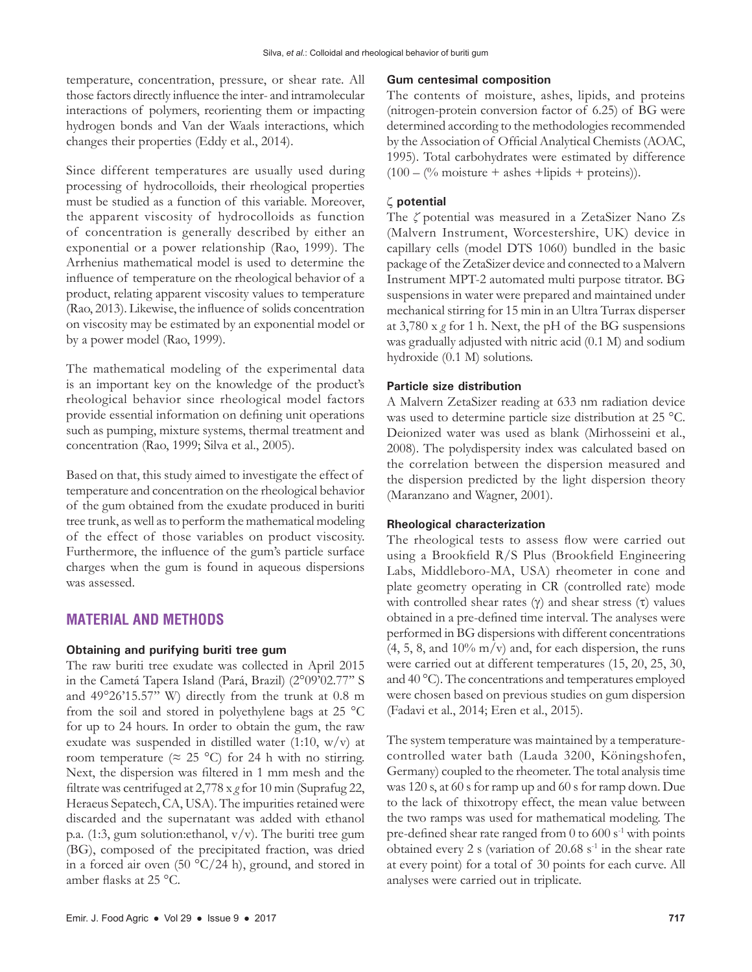temperature, concentration, pressure, or shear rate. All those factors directly influence the inter- and intramolecular interactions of polymers, reorienting them or impacting hydrogen bonds and Van der Waals interactions, which changes their properties (Eddy et al., 2014).

Since different temperatures are usually used during processing of hydrocolloids, their rheological properties must be studied as a function of this variable. Moreover, the apparent viscosity of hydrocolloids as function of concentration is generally described by either an exponential or a power relationship (Rao, 1999). The Arrhenius mathematical model is used to determine the influence of temperature on the rheological behavior of a product, relating apparent viscosity values to temperature (Rao, 2013). Likewise, the influence of solids concentration on viscosity may be estimated by an exponential model or by a power model (Rao, 1999).

The mathematical modeling of the experimental data is an important key on the knowledge of the product's rheological behavior since rheological model factors provide essential information on defining unit operations such as pumping, mixture systems, thermal treatment and concentration (Rao, 1999; Silva et al., 2005).

Based on that, this study aimed to investigate the effect of temperature and concentration on the rheological behavior of the gum obtained from the exudate produced in buriti tree trunk, as well as to perform the mathematical modeling of the effect of those variables on product viscosity. Furthermore, the influence of the gum's particle surface charges when the gum is found in aqueous dispersions was assessed.

## **MATERIAL AND METHODS**

#### **Obtaining and purifying buriti tree gum**

The raw buriti tree exudate was collected in April 2015 in the Cametá Tapera Island (Pará, Brazil) (2°09'02.77'' S and 49°26'15.57'' W) directly from the trunk at 0.8 m from the soil and stored in polyethylene bags at 25 °C for up to 24 hours. In order to obtain the gum, the raw exudate was suspended in distilled water (1:10, w/v) at room temperature ( $\approx$  25 °C) for 24 h with no stirring. Next, the dispersion was filtered in 1 mm mesh and the filtrate was centrifuged at 2,778 x *g* for 10 min (Suprafug 22, Heraeus Sepatech, CA, USA). The impurities retained were discarded and the supernatant was added with ethanol p.a. (1:3, gum solution:ethanol, v/v). The buriti tree gum (BG), composed of the precipitated fraction, was dried in a forced air oven  $(50 \text{ °C}/24 \text{ h})$ , ground, and stored in amber flasks at 25 °C.

#### **Gum centesimal composition**

The contents of moisture, ashes, lipids, and proteins (nitrogen-protein conversion factor of 6.25) of BG were determined according to the methodologies recommended by the Association of Official Analytical Chemists (AOAC, 1995). Total carbohydrates were estimated by difference  $(100 - (%)$  moisture + ashes +lipids + proteins)).

## ζ **potential**

The *ζ* potential was measured in a ZetaSizer Nano Zs (Malvern Instrument, Worcestershire, UK) device in capillary cells (model DTS 1060) bundled in the basic package of the ZetaSizer device and connected to a Malvern Instrument MPT-2 automated multi purpose titrator. BG suspensions in water were prepared and maintained under mechanical stirring for 15 min in an Ultra Turrax disperser at 3,780 x *g* for 1 h. Next, the pH of the BG suspensions was gradually adjusted with nitric acid (0.1 M) and sodium hydroxide (0.1 M) solutions.

## **Particle size distribution**

A Malvern ZetaSizer reading at 633 nm radiation device was used to determine particle size distribution at 25 °C. Deionized water was used as blank (Mirhosseini et al., 2008). The polydispersity index was calculated based on the correlation between the dispersion measured and the dispersion predicted by the light dispersion theory (Maranzano and Wagner, 2001).

#### **Rheological characterization**

The rheological tests to assess flow were carried out using a Brookfield R/S Plus (Brookfield Engineering Labs, Middleboro-MA, USA) rheometer in cone and plate geometry operating in CR (controlled rate) mode with controlled shear rates  $(\gamma)$  and shear stress  $(\tau)$  values obtained in a pre-defined time interval. The analyses were performed in BG dispersions with different concentrations  $(4, 5, 8, \text{ and } 10\% \text{ m/v})$  and, for each dispersion, the runs were carried out at different temperatures (15, 20, 25, 30, and 40 °C). The concentrations and temperatures employed were chosen based on previous studies on gum dispersion (Fadavi et al., 2014; Eren et al., 2015).

The system temperature was maintained by a temperaturecontrolled water bath (Lauda 3200, Köningshofen, Germany) coupled to the rheometer. The total analysis time was 120 s, at 60 s for ramp up and 60 s for ramp down. Due to the lack of thixotropy effect, the mean value between the two ramps was used for mathematical modeling. The pre-defined shear rate ranged from  $0$  to  $600$  s<sup>-1</sup> with points obtained every 2 s (variation of  $20.68$  s<sup>-1</sup> in the shear rate at every point) for a total of 30 points for each curve. All analyses were carried out in triplicate.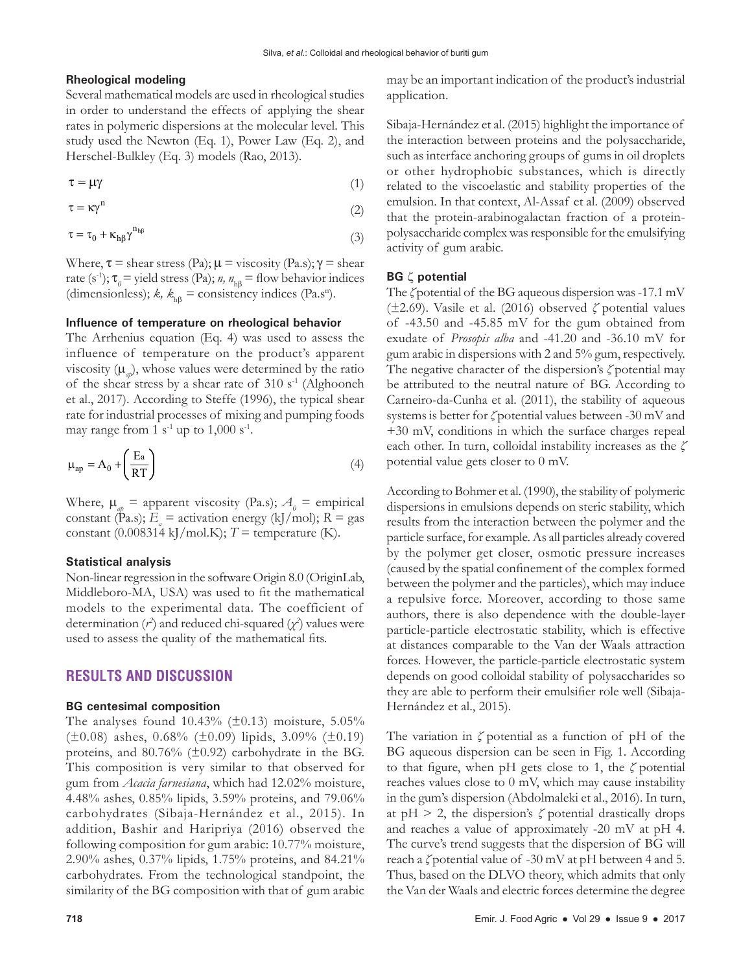#### **Rheological modeling**

Several mathematical models are used in rheological studies in order to understand the effects of applying the shear rates in polymeric dispersions at the molecular level. This study used the Newton (Eq. 1), Power Law (Eq. 2), and Herschel-Bulkley (Eq. 3) models (Rao, 2013).

$$
\tau = \mu \gamma \tag{1}
$$

$$
\tau = \kappa \gamma^{n} \tag{2}
$$

$$
\tau = \tau_0 + \kappa_{h\beta} \gamma^{n_{h\beta}} \tag{3}
$$

Where,  $\tau$  = shear stress (Pa);  $\mu$  = viscosity (Pa.s);  $\gamma$  = shear rate (s<sup>-1</sup>);  $\tau_{0}$  = yield stress (Pa); *n*,  $n_{\text{h}\beta}$  = flow behavior indices (dimensionless);  $k$ ,  $k_{\text{h}\beta}$  = consistency indices (Pa.s<sup>n</sup>).

## **Influence of temperature on rheological behavior**

The Arrhenius equation (Eq. 4) was used to assess the influence of temperature on the product's apparent viscosity  $(\mu_{ab})$ , whose values were determined by the ratio of the shear stress by a shear rate of  $310 s<sup>-1</sup>$  (Alghooneh) et al., 2017). According to Steffe (1996), the typical shear rate for industrial processes of mixing and pumping foods may range from 1  $s^{-1}$  up to 1,000  $s^{-1}$ .

$$
\mu_{ap} = A_0 + \left(\frac{E_a}{RT}\right) \tag{4}
$$

Where,  $\mu_{ap}$  = apparent viscosity (Pa.s);  $A_{0}$  = empirical constant (Pa.s);  $E_a$  = activation energy (kJ/mol);  $R = gas$ constant (0.008314 kJ/mol.K);  $T =$  temperature (K).

#### **Statistical analysis**

Non-linear regression in the software Origin 8.0 (OriginLab, Middleboro-MA, USA) was used to fit the mathematical models to the experimental data. The coefficient of determination  $(r^2)$  and reduced chi-squared  $(\chi^2)$  values were used to assess the quality of the mathematical fits.

## **RESULTS AND DISCUSSION**

#### **BG centesimal composition**

The analyses found  $10.43\%$  ( $\pm 0.13$ ) moisture,  $5.05\%$  $(\pm 0.08)$  ashes, 0.68% ( $\pm 0.09$ ) lipids, 3.09% ( $\pm 0.19$ ) proteins, and  $80.76\%$  ( $\pm 0.92$ ) carbohydrate in the BG. This composition is very similar to that observed for gum from *Acacia farnesiana*, which had 12.02% moisture, 4.48% ashes, 0.85% lipids, 3.59% proteins, and 79.06% carbohydrates (Sibaja-Hernández et al., 2015). In addition, Bashir and Haripriya (2016) observed the following composition for gum arabic: 10.77% moisture, 2.90% ashes, 0.37% lipids, 1.75% proteins, and 84.21% carbohydrates. From the technological standpoint, the similarity of the BG composition with that of gum arabic may be an important indication of the product's industrial application.

Sibaja-Hernández et al. (2015) highlight the importance of the interaction between proteins and the polysaccharide, such as interface anchoring groups of gums in oil droplets or other hydrophobic substances, which is directly related to the viscoelastic and stability properties of the emulsion. In that context, Al-Assaf et al. (2009) observed that the protein-arabinogalactan fraction of a proteinpolysaccharide complex was responsible for the emulsifying activity of gum arabic.

#### **BG** ζ **potential**

The *ζ* potential of the BG aqueous dispersion was-17.1 mV (±2.69). Vasile et al. (2016) observed *ζ* potential values of -43.50 and -45.85 mV for the gum obtained from exudate of *Prosopis alba* and -41.20 and -36.10 mV for gum arabic in dispersions with 2 and 5% gum, respectively. The negative character of the dispersion's *ζ* potential may be attributed to the neutral nature of BG. According to Carneiro-da-Cunha et al. (2011), the stability of aqueous systems is better for *ζ* potential values between -30 mV and +30 mV, conditions in which the surface charges repeal each other. In turn, colloidal instability increases as the *ζ* potential value gets closer to 0 mV.

According to Bohmer et al. (1990), the stability of polymeric dispersions in emulsions depends on steric stability, which results from the interaction between the polymer and the particle surface, for example. As all particles already covered by the polymer get closer, osmotic pressure increases (caused by the spatial confinement of the complex formed between the polymer and the particles), which may induce a repulsive force. Moreover, according to those same authors, there is also dependence with the double-layer particle-particle electrostatic stability, which is effective at distances comparable to the Van der Waals attraction forces. However, the particle-particle electrostatic system depends on good colloidal stability of polysaccharides so they are able to perform their emulsifier role well (Sibaja-Hernández et al., 2015).

The variation in *ζ* potential as a function of pH of the BG aqueous dispersion can be seen in Fig. 1. According to that figure, when pH gets close to 1, the *ζ* potential reaches values close to 0 mV, which may cause instability in the gum's dispersion (Abdolmaleki et al., 2016). In turn, at  $pH > 2$ , the dispersion's  $\zeta$  potential drastically drops and reaches a value of approximately -20 mV at pH 4. The curve's trend suggests that the dispersion of BG will reach a *ζ* potential value of -30 mV at pH between 4 and 5. Thus, based on the DLVO theory, which admits that only the Van der Waals and electric forces determine the degree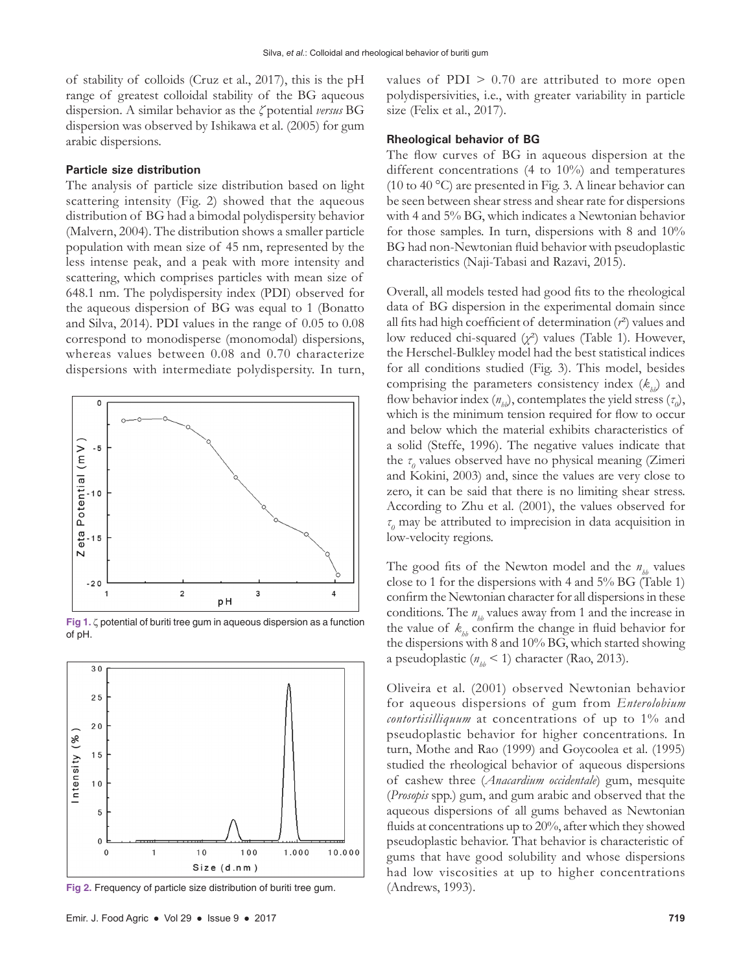of stability of colloids (Cruz et al., 2017), this is the pH range of greatest colloidal stability of the BG aqueous dispersion. A similar behavior as the *ζ* potential *versus* BG dispersion was observed by Ishikawa et al. (2005) for gum arabic dispersions.

## **Particle size distribution**

The analysis of particle size distribution based on light scattering intensity (Fig. 2) showed that the aqueous distribution of BG had a bimodal polydispersity behavior (Malvern, 2004). The distribution shows a smaller particle population with mean size of 45 nm, represented by the less intense peak, and a peak with more intensity and scattering, which comprises particles with mean size of 648.1 nm. The polydispersity index (PDI) observed for the aqueous dispersion of BG was equal to 1 (Bonatto and Silva, 2014). PDI values in the range of 0.05 to 0.08 correspond to monodisperse (monomodal) dispersions, whereas values between 0.08 and 0.70 characterize dispersions with intermediate polydispersity. In turn,



**Fig 1.** ζ potential of buriti tree gum in aqueous dispersion as a function of pH.



**Fig 2.** Frequency of particle size distribution of buriti tree gum.

values of  $PDI > 0.70$  are attributed to more open polydispersivities, i.e., with greater variability in particle size (Felix et al., 2017).

#### **Rheological behavior of BG**

The flow curves of BG in aqueous dispersion at the different concentrations (4 to 10%) and temperatures (10 to 40 °C) are presented in Fig. 3. A linear behavior can be seen between shear stress and shear rate for dispersions with 4 and 5% BG, which indicates a Newtonian behavior for those samples. In turn, dispersions with 8 and 10% BG had non-Newtonian fluid behavior with pseudoplastic characteristics (Naji-Tabasi and Razavi, 2015).

Overall, all models tested had good fits to the rheological data of BG dispersion in the experimental domain since all fits had high coefficient of determination (*r*²) values and low reduced chi-squared (*χ*²) values (Table 1). However, the Herschel-Bulkley model had the best statistical indices for all conditions studied (Fig. 3). This model, besides comprising the parameters consistency index  $(k<sub>h</sub>)$  and flow behavior index  $(n_{h}$ ), contemplates the yield stress  $(\tau_o)$ , which is the minimum tension required for flow to occur and below which the material exhibits characteristics of a solid (Steffe, 1996). The negative values indicate that the *τ*<sub>*0*</sub> values observed have no physical meaning (Zimeri and Kokini, 2003) and, since the values are very close to zero, it can be said that there is no limiting shear stress. According to Zhu et al. (2001), the values observed for *τ0* may be attributed to imprecision in data acquisition in low-velocity regions.

The good fits of the Newton model and the  $n_h$  values close to 1 for the dispersions with 4 and 5% BG (Table 1) confirm the Newtonian character for all dispersions in these conditions. The  $n_{th}$  values away from 1 and the increase in the value of  $k_h$  confirm the change in fluid behavior for the dispersions with 8 and 10% BG, which started showing a pseudoplastic  $(n_{th} < 1)$  character (Rao, 2013).

Oliveira et al. (2001) observed Newtonian behavior for aqueous dispersions of gum from *Enterolobium contortisilliquum* at concentrations of up to 1% and pseudoplastic behavior for higher concentrations. In turn, Mothe and Rao (1999) and Goycoolea et al. (1995) studied the rheological behavior of aqueous dispersions of cashew three (*Anacardium occidentale*) gum, mesquite (*Prosopis* spp.) gum, and gum arabic and observed that the aqueous dispersions of all gums behaved as Newtonian fluids at concentrations up to 20%, after which they showed pseudoplastic behavior. That behavior is characteristic of gums that have good solubility and whose dispersions had low viscosities at up to higher concentrations (Andrews, 1993).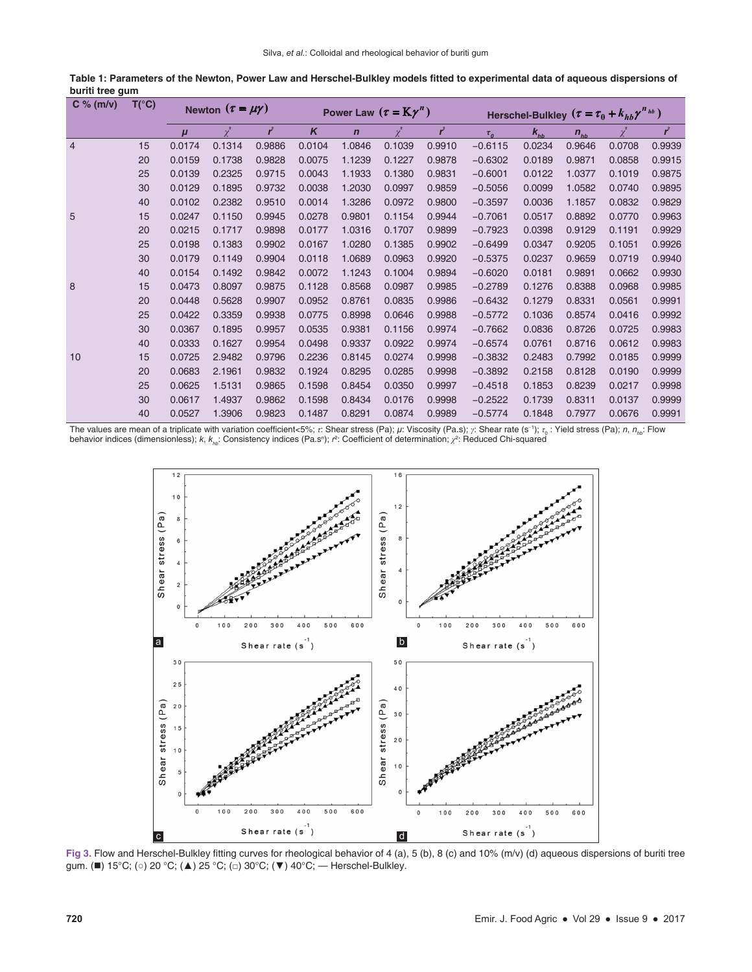| C % (m/v)      | $T(^{\circ}C)$ | Newton $(\tau = \mu \gamma)$ |          |                | Power Law $(\tau = K\gamma^n)$ |             |          |        | Herschel-Bulkley $(\tau = \tau_0 + k_{hb} \gamma^{n_{hb}})$ |          |          |          |                |
|----------------|----------------|------------------------------|----------|----------------|--------------------------------|-------------|----------|--------|-------------------------------------------------------------|----------|----------|----------|----------------|
|                |                | $\mu$                        | $\chi^2$ | $\mathbf{r}^2$ | K                              | $\mathbf n$ | $\chi^2$ | ŕ      | $\tau_{0}$                                                  | $k_{hb}$ | $n_{hb}$ | $\chi^2$ | $\mathbf{r}^2$ |
| $\overline{4}$ | 15             | 0.0174                       | 0.1314   | 0.9886         | 0.0104                         | 1.0846      | 0.1039   | 0.9910 | $-0.6115$                                                   | 0.0234   | 0.9646   | 0.0708   | 0.9939         |
|                | 20             | 0.0159                       | 0.1738   | 0.9828         | 0.0075                         | 1.1239      | 0.1227   | 0.9878 | $-0.6302$                                                   | 0.0189   | 0.9871   | 0.0858   | 0.9915         |
|                | 25             | 0.0139                       | 0.2325   | 0.9715         | 0.0043                         | 1.1933      | 0.1380   | 0.9831 | $-0.6001$                                                   | 0.0122   | 1.0377   | 0.1019   | 0.9875         |
|                | 30             | 0.0129                       | 0.1895   | 0.9732         | 0.0038                         | 1.2030      | 0.0997   | 0.9859 | $-0.5056$                                                   | 0.0099   | 1.0582   | 0.0740   | 0.9895         |
|                | 40             | 0.0102                       | 0.2382   | 0.9510         | 0.0014                         | 1.3286      | 0.0972   | 0.9800 | $-0.3597$                                                   | 0.0036   | 1.1857   | 0.0832   | 0.9829         |
| 5              | 15             | 0.0247                       | 0.1150   | 0.9945         | 0.0278                         | 0.9801      | 0.1154   | 0.9944 | $-0.7061$                                                   | 0.0517   | 0.8892   | 0.0770   | 0.9963         |
|                | 20             | 0.0215                       | 0.1717   | 0.9898         | 0.0177                         | 1.0316      | 0.1707   | 0.9899 | $-0.7923$                                                   | 0.0398   | 0.9129   | 0.1191   | 0.9929         |
|                | 25             | 0.0198                       | 0.1383   | 0.9902         | 0.0167                         | 1.0280      | 0.1385   | 0.9902 | $-0.6499$                                                   | 0.0347   | 0.9205   | 0.1051   | 0.9926         |
|                | 30             | 0.0179                       | 0.1149   | 0.9904         | 0.0118                         | 1.0689      | 0.0963   | 0.9920 | $-0.5375$                                                   | 0.0237   | 0.9659   | 0.0719   | 0.9940         |
|                | 40             | 0.0154                       | 0.1492   | 0.9842         | 0.0072                         | 1.1243      | 0.1004   | 0.9894 | $-0.6020$                                                   | 0.0181   | 0.9891   | 0.0662   | 0.9930         |
| 8              | 15             | 0.0473                       | 0.8097   | 0.9875         | 0.1128                         | 0.8568      | 0.0987   | 0.9985 | $-0.2789$                                                   | 0.1276   | 0.8388   | 0.0968   | 0.9985         |
|                | 20             | 0.0448                       | 0.5628   | 0.9907         | 0.0952                         | 0.8761      | 0.0835   | 0.9986 | $-0.6432$                                                   | 0.1279   | 0.8331   | 0.0561   | 0.9991         |
|                | 25             | 0.0422                       | 0.3359   | 0.9938         | 0.0775                         | 0.8998      | 0.0646   | 0.9988 | $-0.5772$                                                   | 0.1036   | 0.8574   | 0.0416   | 0.9992         |
|                | 30             | 0.0367                       | 0.1895   | 0.9957         | 0.0535                         | 0.9381      | 0.1156   | 0.9974 | $-0.7662$                                                   | 0.0836   | 0.8726   | 0.0725   | 0.9983         |
|                | 40             | 0.0333                       | 0.1627   | 0.9954         | 0.0498                         | 0.9337      | 0.0922   | 0.9974 | $-0.6574$                                                   | 0.0761   | 0.8716   | 0.0612   | 0.9983         |
| 10             | 15             | 0.0725                       | 2.9482   | 0.9796         | 0.2236                         | 0.8145      | 0.0274   | 0.9998 | $-0.3832$                                                   | 0.2483   | 0.7992   | 0.0185   | 0.9999         |
|                | 20             | 0.0683                       | 2.1961   | 0.9832         | 0.1924                         | 0.8295      | 0.0285   | 0.9998 | $-0.3892$                                                   | 0.2158   | 0.8128   | 0.0190   | 0.9999         |
|                | 25             | 0.0625                       | 1.5131   | 0.9865         | 0.1598                         | 0.8454      | 0.0350   | 0.9997 | $-0.4518$                                                   | 0.1853   | 0.8239   | 0.0217   | 0.9998         |
|                | 30             | 0.0617                       | 1.4937   | 0.9862         | 0.1598                         | 0.8434      | 0.0176   | 0.9998 | $-0.2522$                                                   | 0.1739   | 0.8311   | 0.0137   | 0.9999         |
|                | 40             | 0.0527                       | 1.3906   | 0.9823         | 0.1487                         | 0.8291      | 0.0874   | 0.9989 | $-0.5774$                                                   | 0.1848   | 0.7977   | 0.0676   | 0.9991         |

Table 1: Parameters of the Newton, Power Law and Herschel-Bulkley models fitted to experimental data of aqueous dispersions of **buriti tree gum**

The values are mean of a triplicate with variation coefficient<5%; *τ*: Shear stress (Pa); *µ*: Viscosity (Pa.s); *γ*: Shear rate (s<sup>−</sup><sup>1</sup> ); *τ*<sup>0</sup> : Yield stress (Pa); *n*, *nhb*: Flow behavior indices (dimensionless); *k*, *k<sub>hb</sub>:* Consistency indices (Pa.sʰ); *r*°: Coefficient of determination; *χ*°: Reduced Chi-squared



Fig 3. Flow and Herschel-Bulkley fitting curves for rheological behavior of 4 (a), 5 (b), 8 (c) and 10% (m/v) (d) aqueous dispersions of buriti tree gum. (■) 15°C; (○) 20 °C; (▲) 25 °C; (□) 30°C; (▼) 40°C; — Herschel-Bulkley.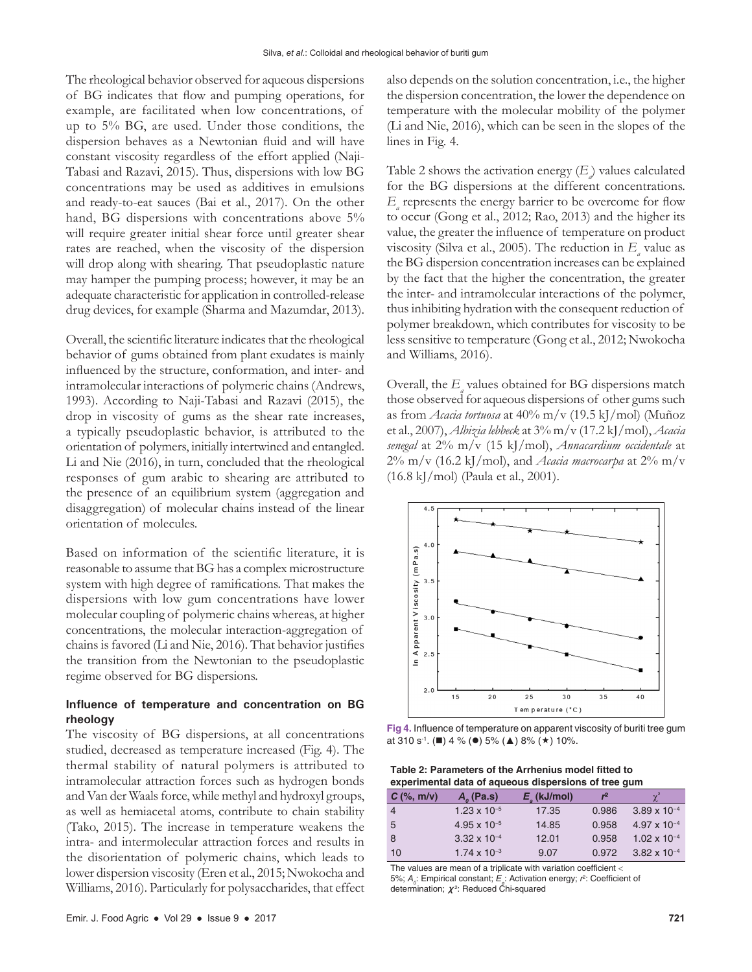The rheological behavior observed for aqueous dispersions of BG indicates that flow and pumping operations, for example, are facilitated when low concentrations, of up to 5% BG, are used. Under those conditions, the dispersion behaves as a Newtonian fluid and will have constant viscosity regardless of the effort applied (Naji-Tabasi and Razavi, 2015). Thus, dispersions with low BG concentrations may be used as additives in emulsions and ready-to-eat sauces (Bai et al., 2017). On the other hand, BG dispersions with concentrations above 5% will require greater initial shear force until greater shear rates are reached, when the viscosity of the dispersion will drop along with shearing. That pseudoplastic nature may hamper the pumping process; however, it may be an adequate characteristic for application in controlled-release drug devices, for example (Sharma and Mazumdar, 2013).

Overall, the scientific literature indicates that the rheological behavior of gums obtained from plant exudates is mainly influenced by the structure, conformation, and inter- and intramolecular interactions of polymeric chains (Andrews, 1993). According to Naji-Tabasi and Razavi (2015), the drop in viscosity of gums as the shear rate increases, a typically pseudoplastic behavior, is attributed to the orientation of polymers, initially intertwined and entangled. Li and Nie (2016), in turn, concluded that the rheological responses of gum arabic to shearing are attributed to the presence of an equilibrium system (aggregation and disaggregation) of molecular chains instead of the linear orientation of molecules.

Based on information of the scientific literature, it is reasonable to assume that BG has a complex microstructure system with high degree of ramifications. That makes the dispersions with low gum concentrations have lower molecular coupling of polymeric chains whereas, at higher concentrations, the molecular interaction-aggregation of chains is favored (Li and Nie, 2016). That behavior justifies the transition from the Newtonian to the pseudoplastic regime observed for BG dispersions.

## **Influence of temperature and concentration on BG rheology**

The viscosity of BG dispersions, at all concentrations studied, decreased as temperature increased (Fig. 4). The thermal stability of natural polymers is attributed to intramolecular attraction forces such as hydrogen bonds and Van der Waals force, while methyl and hydroxyl groups, as well as hemiacetal atoms, contribute to chain stability (Tako, 2015). The increase in temperature weakens the intra- and intermolecular attraction forces and results in the disorientation of polymeric chains, which leads to lower dispersion viscosity (Eren et al., 2015; Nwokocha and Williams, 2016). Particularly for polysaccharides, that effect also depends on the solution concentration, i.e., the higher the dispersion concentration, the lower the dependence on temperature with the molecular mobility of the polymer (Li and Nie, 2016), which can be seen in the slopes of the lines in Fig. 4.

Table 2 shows the activation energy  $\left(E\right)$  values calculated for the BG dispersions at the different concentrations.  $E_{a}$  represents the energy barrier to be overcome for flow to occur (Gong et al., 2012; Rao, 2013) and the higher its value, the greater the influence of temperature on product viscosity (Silva et al., 2005). The reduction in  $E_a$  value as the BG dispersion concentration increases can be explained by the fact that the higher the concentration, the greater the inter- and intramolecular interactions of the polymer, thus inhibiting hydration with the consequent reduction of polymer breakdown, which contributes for viscosity to be less sensitive to temperature (Gong et al., 2012; Nwokocha and Williams, 2016).

Overall, the  $E_{a}$  values obtained for BG dispersions match those observed for aqueous dispersions of other gums such as from *Acacia tortuosa* at 40% m/v (19.5 kJ/mol) (Muñoz et al., 2007), *Albizia lebbeck* at 3% m/v (17.2 kJ/mol), *Acacia senegal* at 2% m/v (15 kJ/mol), *Annacardium occidentale* at  $2\%$  m/v (16.2 kJ/mol), and *Acacia macrocarpa* at  $2\%$  m/v (16.8 kJ/mol) (Paula et al., 2001).



**Fig 4.** Influence of temperature on apparent viscosity of buriti tree gum at 310 s<sup>-1</sup>. (■) 4 % (●) 5% (▲) 8% (★) 10%.

| Table 2: Parameters of the Arrhenius model fitted to |
|------------------------------------------------------|
| experimental data of aqueous dispersions of tree gum |

| $C$ (%, m/v) | $A_{\alpha}$ (Pa.s)   | $E_{\rm g}$ (kJ/mol) | $r^2$ | $\gamma^2$            |
|--------------|-----------------------|----------------------|-------|-----------------------|
| -4           | $1.23 \times 10^{-5}$ | 17.35                | 0.986 | $3.89 \times 10^{-4}$ |
| -5           | $4.95 \times 10^{-5}$ | 14.85                | 0.958 | $4.97 \times 10^{-4}$ |
| -8           | $3.32 \times 10^{-4}$ | 12.01                | 0.958 | $1.02 \times 10^{-4}$ |
| 10           | $1.74 \times 10^{-3}$ | 9.07                 | 0.972 | $3.82 \times 10^{-4}$ |

The values are mean of a triplicate with variation coefficient < 5%;  $A_o$ : Empirical constant;  $E_a$ : Activation energy;  $r^2$ : Coefficient of determination;  $\pmb{\chi}^2$ : Reduced Chi-squared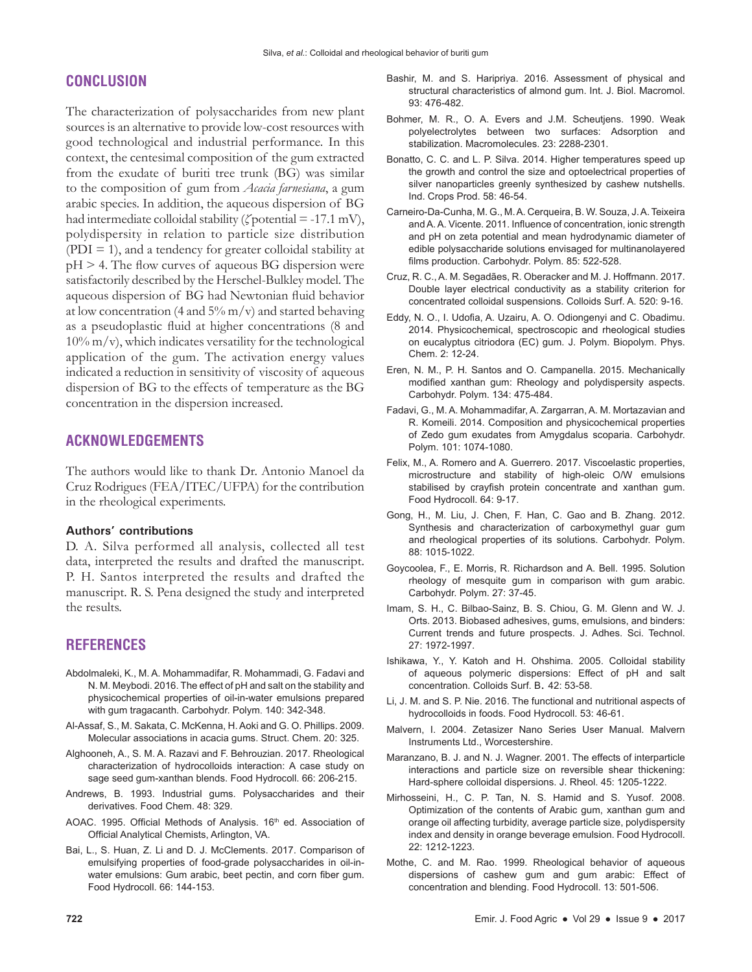## **CONCLUSION**

The characterization of polysaccharides from new plant sources is an alternative to provide low-cost resources with good technological and industrial performance. In this context, the centesimal composition of the gum extracted from the exudate of buriti tree trunk (BG) was similar to the composition of gum from *Acacia farnesiana*, a gum arabic species. In addition, the aqueous dispersion of BG had intermediate colloidal stability (*ζ* potential = -17.1 mV), polydispersity in relation to particle size distribution  $( PDI = 1)$ , and a tendency for greater colloidal stability at  $pH > 4$ . The flow curves of aqueous BG dispersion were satisfactorily described by the Herschel-Bulkley model. The aqueous dispersion of BG had Newtonian fluid behavior at low concentration (4 and  $5\%$  m/v) and started behaving as a pseudoplastic fluid at higher concentrations (8 and  $10\%$  m/v), which indicates versatility for the technological application of the gum. The activation energy values indicated a reduction in sensitivity of viscosity of aqueous dispersion of BG to the effects of temperature as the BG concentration in the dispersion increased.

## **ACKNOWLEDGEMENTS**

The authors would like to thank Dr. Antonio Manoel da Cruz Rodrigues (FEA/ITEC/UFPA) for the contribution in the rheological experiments.

#### **Authors' contributions**

D. A. Silva performed all analysis, collected all test data, interpreted the results and drafted the manuscript. P. H. Santos interpreted the results and drafted the manuscript. R. S. Pena designed the study and interpreted the results.

## **REFERENCES**

- Abdolmaleki, K., M. A. Mohammadifar, R. Mohammadi, G. Fadavi and N. M. Meybodi. 2016. The effect of pH and salt on the stability and physicochemical properties of oil-in-water emulsions prepared with gum tragacanth. Carbohydr. Polym. 140: 342-348.
- Al-Assaf, S., M. Sakata, C. McKenna, H. Aoki and G. O. Phillips. 2009. Molecular associations in acacia gums. Struct. Chem. 20: 325.
- Alghooneh, A., S. M. A. Razavi and F. Behrouzian. 2017. Rheological characterization of hydrocolloids interaction: A case study on sage seed gum-xanthan blends. Food Hydrocoll. 66: 206-215.
- Andrews, B. 1993. Industrial gums. Polysaccharides and their derivatives. Food Chem. 48: 329.
- AOAC. 1995. Official Methods of Analysis. 16<sup>th</sup> ed. Association of Official Analytical Chemists, Arlington, VA.
- Bai, L., S. Huan, Z. Li and D. J. McClements. 2017. Comparison of emulsifying properties of food-grade polysaccharides in oil-inwater emulsions: Gum arabic, beet pectin, and corn fiber gum. Food Hydrocoll. 66: 144-153.
- Bashir, M. and S. Haripriya. 2016. Assessment of physical and structural characteristics of almond gum. Int. J. Biol. Macromol. 93: 476-482.
- Bohmer, M. R., O. A. Evers and J.M. Scheutjens. 1990. Weak polyelectrolytes between two surfaces: Adsorption and stabilization. Macromolecules. 23: 2288-2301.
- Bonatto, C. C. and L. P. Silva. 2014. Higher temperatures speed up the growth and control the size and optoelectrical properties of silver nanoparticles greenly synthesized by cashew nutshells. Ind. Crops Prod. 58: 46-54.
- Carneiro-Da-Cunha, M. G., M. A. Cerqueira, B. W. Souza, J.A. Teixeira and A. A. Vicente. 2011. Influence of concentration, ionic strength and pH on zeta potential and mean hydrodynamic diameter of edible polysaccharide solutions envisaged for multinanolayered films production. Carbohydr. Polym. 85: 522-528.
- Cruz, R. C., A. M. Segadães, R. Oberacker and M. J. Hoffmann. 2017. Double layer electrical conductivity as a stability criterion for concentrated colloidal suspensions. Colloids Surf. A. 520: 9-16.
- Eddy, N. O., I. Udofia, A. Uzairu, A. O. Odiongenyi and C. Obadimu. 2014. Physicochemical, spectroscopic and rheological studies on eucalyptus citriodora (EC) gum. J. Polym. Biopolym. Phys. Chem. 2: 12-24.
- Eren, N. M., P. H. Santos and O. Campanella. 2015. Mechanically modified xanthan gum: Rheology and polydispersity aspects. Carbohydr. Polym. 134: 475-484.
- Fadavi, G., M. A. Mohammadifar, A. Zargarran, A. M. Mortazavian and R. Komeili. 2014. Composition and physicochemical properties of Zedo gum exudates from Amygdalus scoparia. Carbohydr. Polym. 101: 1074-1080.
- Felix, M., A. Romero and A. Guerrero. 2017. Viscoelastic properties, microstructure and stability of high-oleic O/W emulsions stabilised by crayfish protein concentrate and xanthan gum. Food Hydrocoll. 64: 9-17.
- Gong, H., M. Liu, J. Chen, F. Han, C. Gao and B. Zhang. 2012. Synthesis and characterization of carboxymethyl guar gum and rheological properties of its solutions. Carbohydr. Polym. 88: 1015-1022.
- Goycoolea, F., E. Morris, R. Richardson and A. Bell. 1995. Solution rheology of mesquite gum in comparison with gum arabic. Carbohydr. Polym. 27: 37-45.
- Imam, S. H., C. Bilbao-Sainz, B. S. Chiou, G. M. Glenn and W. J. Orts. 2013. Biobased adhesives, gums, emulsions, and binders: Current trends and future prospects. J. Adhes. Sci. Technol. 27: 1972-1997.
- Ishikawa, Y., Y. Katoh and H. Ohshima. 2005. Colloidal stability of aqueous polymeric dispersions: Effect of pH and salt concentration. Colloids Surf. B. 42: 53-58.
- Li, J. M. and S. P. Nie. 2016. The functional and nutritional aspects of hydrocolloids in foods. Food Hydrocoll. 53: 46-61.
- Malvern, I. 2004. Zetasizer Nano Series User Manual. Malvern Instruments Ltd., Worcestershire.
- Maranzano, B. J. and N. J. Wagner. 2001. The effects of interparticle interactions and particle size on reversible shear thickening: Hard-sphere colloidal dispersions. J. Rheol. 45: 1205-1222.
- Mirhosseini, H., C. P. Tan, N. S. Hamid and S. Yusof. 2008. Optimization of the contents of Arabic gum, xanthan gum and orange oil affecting turbidity, average particle size, polydispersity index and density in orange beverage emulsion. Food Hydrocoll. 22: 1212-1223.
- Mothe, C. and M. Rao. 1999. Rheological behavior of aqueous dispersions of cashew gum and gum arabic: Effect of concentration and blending. Food Hydrocoll. 13: 501-506.